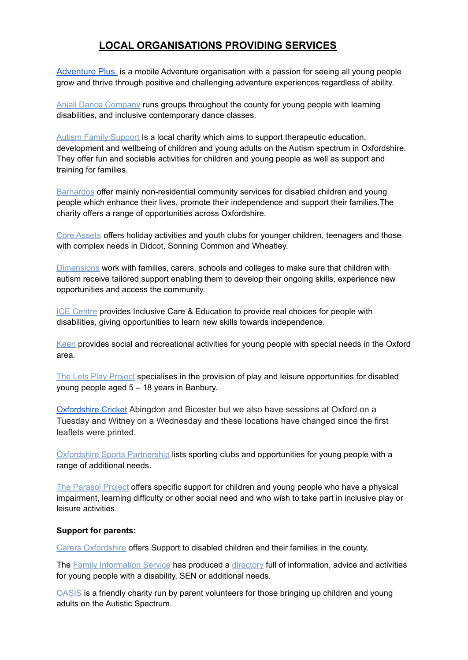## **LOCAL ORGANISATIONS PROVIDING SERVICES**

[Adventure](https://www.adventureplus.org.uk/) Plus is a mobile Adventure organisation with a passion for seeing all young people grow and thrive through positive and challenging adventure experiences regardless of ability.

[Anjali Dance Company](http://www.anjali.co.uk/) runs groups throughout the county for young people with learning disabilities, and inclusive contemporary dance classes.

[Autism Family Support](http://www.afso.org.uk/) Is a local charity which aims to support therapeutic education, development and wellbeing of children and young adults on the Autism spectrum in Oxfordshire. They offer fun and sociable activities for children and young people as well as support and training for families.

[Barnardos](http://www.barnardos.org.uk/what_we_do/our_work/disability-short-breaks.htm) offer mainly non-residential community services for disabled children and young people which enhance their lives, promote their independence and support their families.The charity offers a range of opportunities across Oxfordshire.

[Core Assets](http://www.coreassets.com/what-we-do/children-and-family/disabled-children/) offers holiday activities and youth clubs for younger children, teenagers and those with complex needs in Didcot, Sonning Common and Wheatley.

[Dimensions](http://www.dimensions-uk.org/support-services/support-for-children-with-autism/) work with families, carers, schools and colleges to make sure that children with autism receive tailored support enabling them to develop their ongoing skills, experience new opportunities and access the community.

[ICE Centre](http://www.theicecentre-org.uknic.biz/) provides Inclusive Care & Education to provide real choices for people with disabilities, giving opportunities to learn new skills towards independence.

[Keen](http://www.keenoxford.org/) provides social and recreational activities for young people with special needs in the Oxford area.

[The Lets Play Project](http://letsplaybanbury.org/) specialises in the provision of play and leisure opportunities for disabled young people aged 5 – 18 years in Banbury.

[Oxfordshire Cricket](http://www.oxfordshire.cricket/page/contact-us-1213/) Abingdon and Bicester but we also have sessions at Oxford on a Tuesday and Witney on a Wednesday and these locations have changed since the first leaflets were printed.

**[Oxfordshire Sports Partnership](http://www.oxfordshiresport.org/disability-opps) lists sporting clubs and opportunities for young people with a** range of additional needs.

[The Parasol Project](http://parasolproject.org/) offers specific support for children and young people who have a physical impairment, learning difficulty or other social need and who wish to take part in inclusive play or leisure activities.

## **Support for parents:**

[Carers Oxfordshire](http://www.carersoxfordshire.org.uk/cms/content/parent-carers) offers Support to disabled children and their families in the county.

The [Family Information Service](https://www.oxfordshire.gov.uk/cms/content/oxfordshire-family-information-service-oxonfis) has produced a [directory](http://fisd.oxfordshire.gov.uk/kb5/oxfordshire/fsd/disabilities.page) full of information, advice and activities for young people with a disability, SEN or additional needs.

[OASIS](http://www.oasisonline.org.uk/) is a friendly charity run by parent volunteers for those bringing up children and young adults on the Autistic Spectrum.